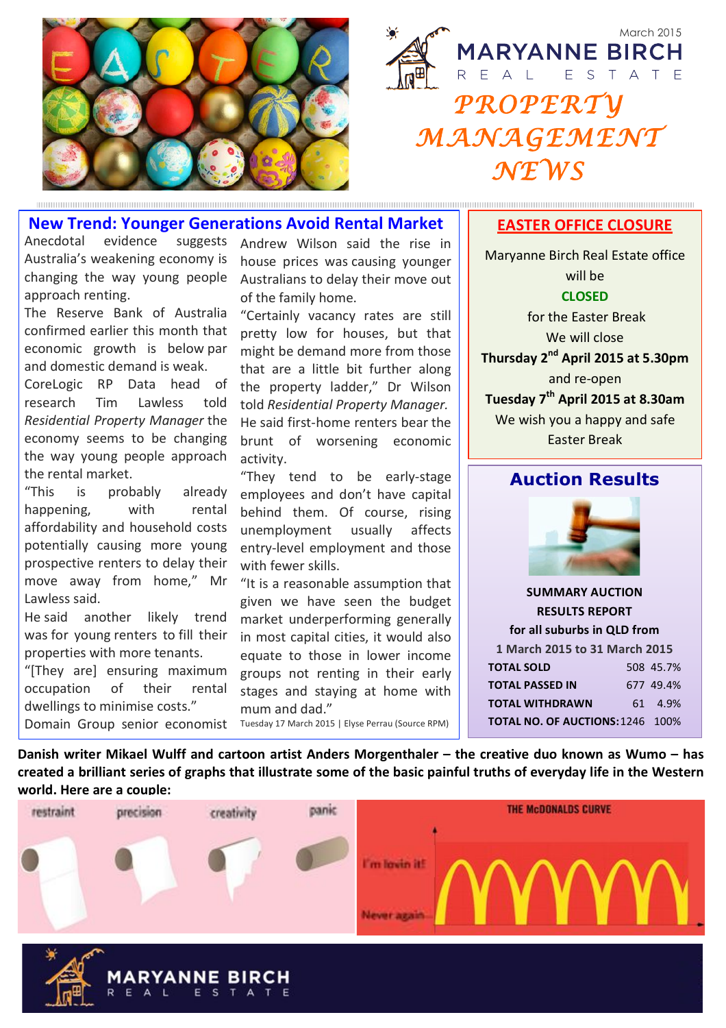

March 2015 **MARYANNE BIRCH** REAL ESTATE *PROPERTY MANAGEMENT NEWS* 

### **New&Trend:&Younger&Generations&Avoid&Rental&Market**

Anecdotal evidence suggests Australia's weakening economy is changing the way young people approach renting.

The Reserve Bank of Australia confirmed earlier this month that economic growth is below par and domestic demand is weak.

CoreLogic RP Data head of research Tim Lawless told *Residential\*Property\*Manager* the! economy seems to be changing the way young people approach the rental market.

"This is probably already happening, with rental affordability and household costs potentially causing more young prospective renters to delay their move away from home," Mr Lawless said.

He said another likely trend was for young renters to fill their properties with more tenants.

"[They are] ensuring maximum occupation of their rental dwellings to minimise costs." Domain Group senior economist Andrew Wilson said the rise in house prices was causing younger Australians to delay their move out of the family home.

"Certainly vacancy rates are still pretty low for houses, but that might be demand more from those that are a little bit further along the property ladder," Dr Wilson told!*Residential\*Property\*Manager.* He said first-home renters bear the brunt of worsening economic activity.

"They tend to be early-stage employees and don't have capital behind them. Of course, rising unemployment usually affects entry-level employment and those with fewer skills.

"It is a reasonable assumption that given we have seen the budget market underperforming generally in most capital cities, it would also equate to those in lower income groups not renting in their early stages and staying at home with mum and dad."

Tuesday 17 March 2015 | Elyse Perrau (Source RPM)

#### **EASTER OFFICE CLOSURE**

Maryanne Birch Real Estate office will be **CLOSED** for the Faster Break We will close **Thursday&2nd April&2015 at&5.30pm** and re-open **Tuesday&7th April&2015&at&8.30am** We wish you a happy and safe Easter Break

### **Auction Results**



**SUMMARY AUCTION RESULTS&REPORT&** for all suburbs in QLD from **1 March 2015 to 31 March 2015 TOTAL&SOLD** 508 45.7% **TOTAL PASSED IN** 677 49.4% **TOTAL&WITHDRAWN** 61 4.9% **TOTAL NO. OF AUCTIONS: 1246 100%** 

**Danish writer Mikael Wulff and cartoon artist Anders Morgenthaler – the creative duo known as Wumo – has** created a brilliant series of graphs that illustrate some of the basic painful truths of everyday life in the Western world. Here are a couple: